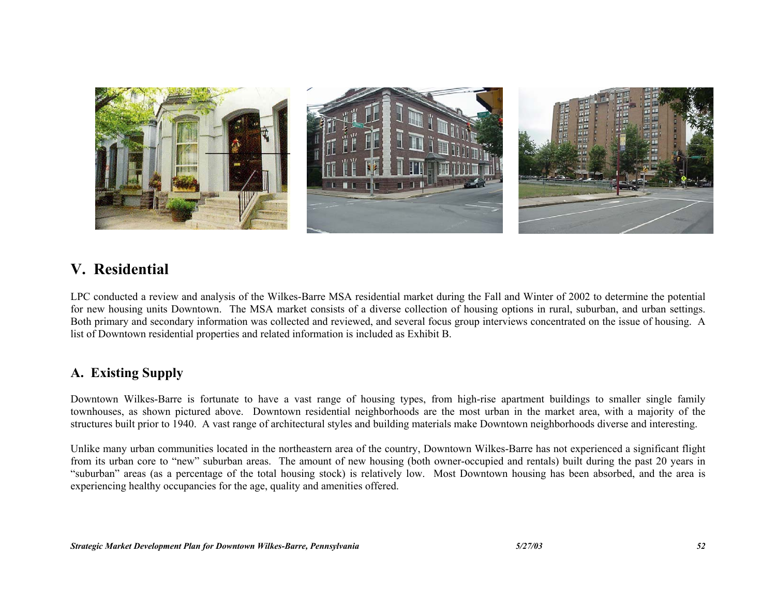

# **V. Residential**

LPC conducted a review and analysis of the Wilkes-Barre MSA residential market during the Fall and Winter of 2002 to determine the potential for new housing units Downtown. The MSA market consists of a diverse collection of housing options in rural, suburban, and urban settings. Both primary and secondary information was collected and reviewed, and several focus group interviews concentrated on the issue of housing. A list of Downtown residential properties and related information is included as Exhibit B.

# **A. Existing Supply**

Downtown Wilkes-Barre is fortunate to have a vast range of housing types, from high-rise apartment buildings to smaller single family townhouses, as shown pictured above. Downtown residential neighborhoods are the most urban in the market area, with a majority of the structures built prior to 1940. A vast range of architectural styles and building materials make Downtown neighborhoods diverse and interesting.

Unlike many urban communities located in the northeastern area of the country, Downtown Wilkes-Barre has not experienced a significant flight from its urban core to "new" suburban areas. The amount of new housing (both owner-occupied and rentals) built during the past 20 years in "suburban" areas (as a percentage of the total housing stock) is relatively low. Most Downtown housing has been absorbed, and the area is experiencing healthy occupancies for the age, quality and amenities offered.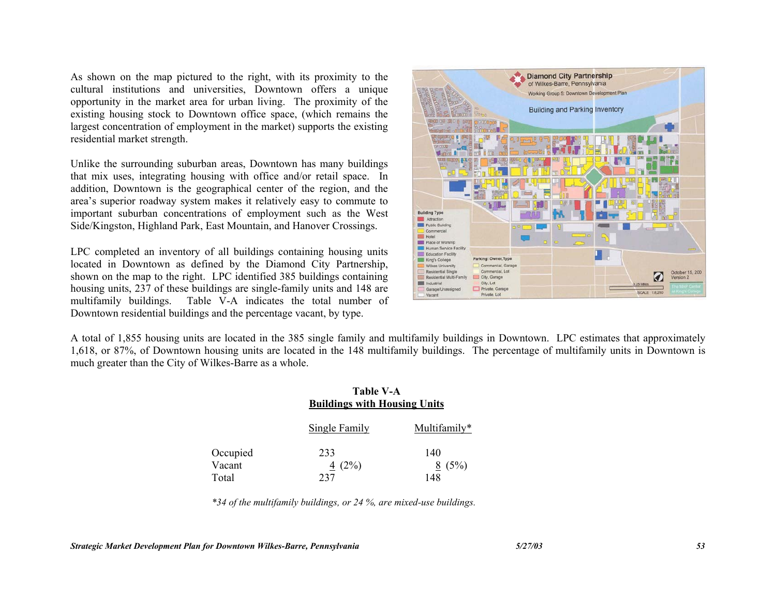As shown on the map pictured to the right, with its proximity to the cultural institutions and universities, Downtown offers a unique opportunity in the market area for urban living. The proximity of the existing housing stock to Downtown office space, (which remains the largest concentration of employment in the market) supports the existing residential market strength.

Unlike the surrounding suburban areas, Downtown has many buildings that mix uses, integrating housing with office and/or retail space. In addition, Downtown is the geographical center of the region, and the area's superior roadway system makes it relatively easy to commute to important suburban concentrations of employment such as the West Side/Kingston, Highland Park, East Mountain, and Hanover Crossings.

LPC completed an inventory of all buildings containing housing units located in Downtown as defined by the Diamond City Partnership, shown on the map to the right. LPC identified 385 buildings containing housing units, 237 of these buildings are single-family units and 148 are multifamily buildings. Table V-A indicates the total number of Downtown residential buildings and the percentage vacant, by type.



A total of 1,855 housing units are located in the 385 single family and multifamily buildings in Downtown. LPC estimates that approximately 1,618, or 87%, of Downtown housing units are located in the 148 multifamily buildings. The percentage of multifamily units in Downtown is much greater than the City of Wilkes-Barre as a whole.

|          | <b>Table V-A</b><br><b>Buildings with Housing Units</b> |              |
|----------|---------------------------------------------------------|--------------|
|          | <b>Single Family</b>                                    | Multifamily* |
| Occupied | 233                                                     | 140          |
| Vacant   | 4 $(2\%)$                                               | 8(5%)        |
| Total    |                                                         | 148          |

*\*34 of the multifamily buildings, or 24 %, are mixed-use buildings.*

*Strategic Market Development Plan for Downtown Wilkes-Barre, Pennsylvania 5/27/03 53*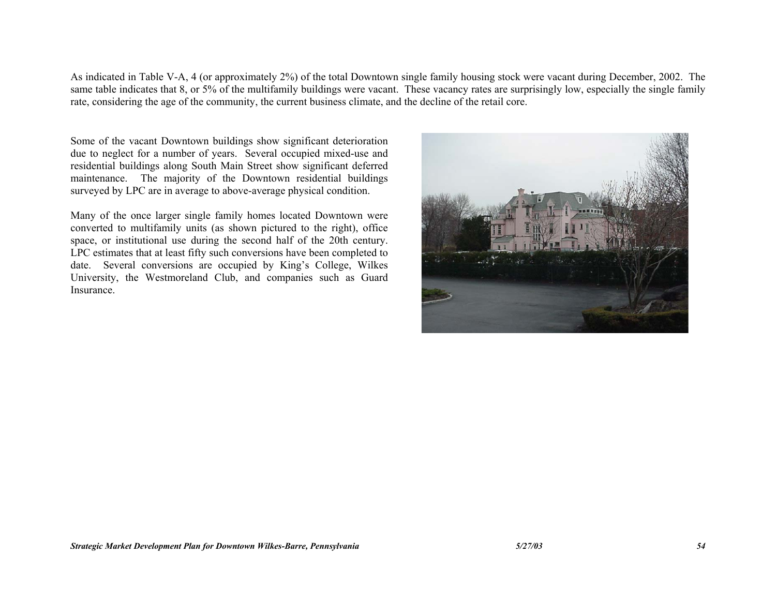As indicated in Table V-A, 4 (or approximately 2%) of the total Downtown single family housing stock were vacant during December, 2002. The same table indicates that 8, or 5% of the multifamily buildings were vacant. These vacancy rates are surprisingly low, especially the single family rate, considering the age of the community, the current business climate, and the decline of the retail core.

Some of the vacant Downtown buildings show significant deterioration due to neglect for a number of years. Several occupied mixed-use and residential buildings along South Main Street show significant deferred maintenance. The majority of the Downtown residential buildings surveyed by LPC are in average to above-average physical condition.

Many of the once larger single family homes located Downtown were converted to multifamily units (as shown pictured to the right), office space, or institutional use during the second half of the 20th century. LPC estimates that at least fifty such conversions have been completed to date. Several conversions are occupied by King's College, Wilkes University, the Westmoreland Club, and companies such as Guard Insurance.

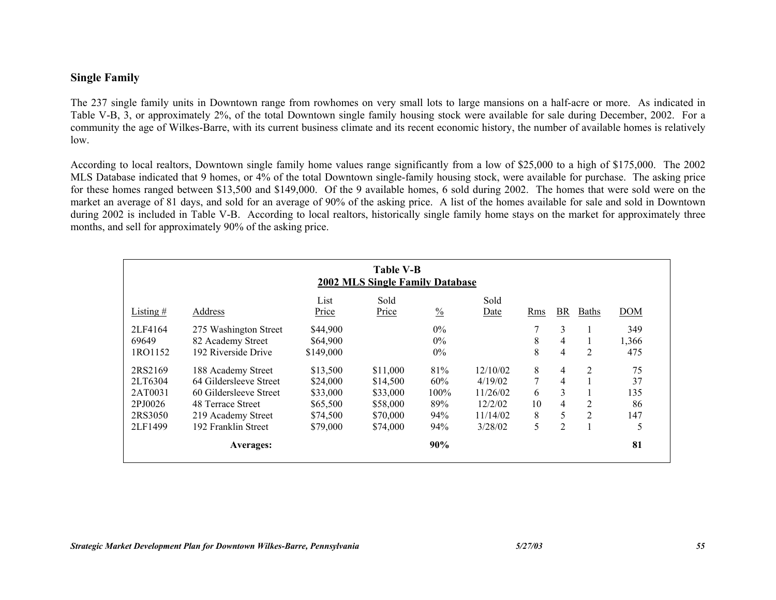# **Single Family**

The 237 single family units in Downtown range from rowhomes on very small lots to large mansions on a half-acre or more. As indicated in Table V-B, 3, or approximately 2%, of the total Downtown single family housing stock were available for sale during December, 2002. For a community the age of Wilkes-Barre, with its current business climate and its recent economic history, the number of available homes is relatively low.

According to local realtors, Downtown single family home values range significantly from a low of \$25,000 to a high of \$175,000. The 2002 MLS Database indicated that 9 homes, or 4% of the total Downtown single-family housing stock, were available for purchase. The asking price for these homes ranged between \$13,500 and \$149,000. Of the 9 available homes, 6 sold during 2002. The homes that were sold were on the market an average of 81 days, and sold for an average of 90% of the asking price. A list of the homes available for sale and sold in Downtown during 2002 is included in Table V-B. According to local realtors, historically single family home stays on the market for approximately three months, and sell for approximately 90% of the asking price.

|             |                        |               | <b>Table V-B</b><br>2002 MLS Single Family Database |               |              |     |                         |                |            |
|-------------|------------------------|---------------|-----------------------------------------------------|---------------|--------------|-----|-------------------------|----------------|------------|
| Listing $#$ | Address                | List<br>Price | Sold<br>Price                                       | $\frac{0}{0}$ | Sold<br>Date | Rms | BR                      | <b>Baths</b>   | <b>DOM</b> |
| 2LF4164     | 275 Washington Street  | \$44,900      |                                                     | $0\%$         |              |     | 3                       |                | 349        |
| 69649       | 82 Academy Street      | \$64,900      |                                                     | $0\%$         |              | 8   | $\overline{4}$          |                | 1,366      |
| 1RO1152     | 192 Riverside Drive    | \$149,000     |                                                     | $0\%$         |              | 8   | $\overline{\mathbf{4}}$ | $\overline{2}$ | 475        |
| 2RS2169     | 188 Academy Street     | \$13,500      | \$11,000                                            | 81%           | 12/10/02     | 8   | $\overline{4}$          | 2              | 75         |
| 2LT6304     | 64 Gildersleeve Street | \$24,000      | \$14,500                                            | 60%           | 4/19/02      | 7   | $\overline{4}$          |                | 37         |
| 2AT0031     | 60 Gildersleeve Street | \$33,000      | \$33,000                                            | $100\%$       | 11/26/02     | 6   | 3                       |                | 135        |
| 2PJ0026     | 48 Terrace Street      | \$65,500      | \$58,000                                            | 89%           | 12/2/02      | 10  | $\overline{4}$          | 2              | 86         |
| 2RS3050     | 219 Academy Street     | \$74,500      | \$70,000                                            | 94%           | 11/14/02     | 8   | 5                       | 2              | 147        |
| 2LF1499     | 192 Franklin Street    | \$79,000      | \$74,000                                            | 94%           | 3/28/02      | 5   | $\overline{2}$          |                |            |
|             | <b>Averages:</b>       |               |                                                     | 90%           |              |     |                         |                | 81         |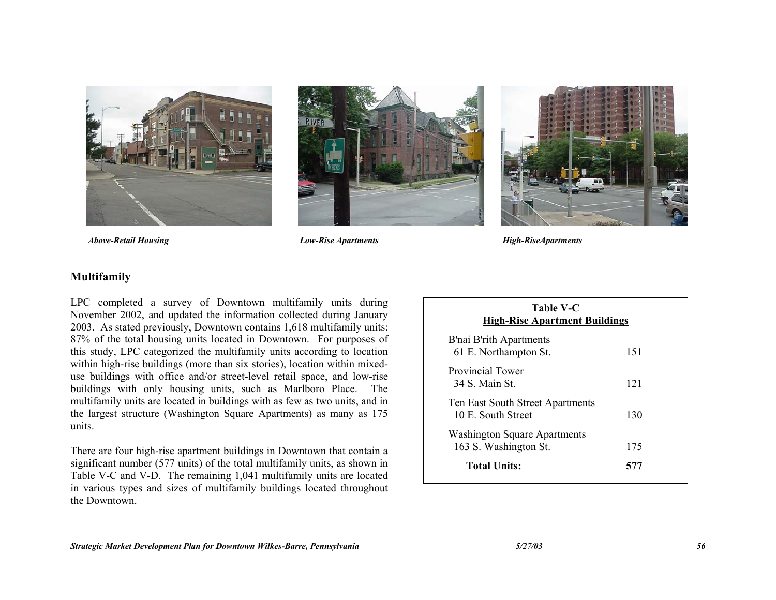





 *Above-Retail Housing Low-Rise Apartments High-RiseApartments*

#### **Multifamily**

LPC completed a survey of Downtown multifamily units during November 2002, and updated the information collected during January 2003. As stated previously, Downtown contains 1,618 multifamily units: 87% of the total housing units located in Downtown. For purposes of this study, LPC categorized the multifamily units according to location within high-rise buildings (more than six stories), location within mixeduse buildings with office and/or street-level retail space, and low-rise buildings with only housing units, such as Marlboro Place. The multifamily units are located in buildings with as few as two units, and in the largest structure (Washington Square Apartments) as many as 175 units.

There are four high-rise apartment buildings in Downtown that contain a significant number (577 units) of the total multifamily units, as shown in Table V-C and V-D. The remaining 1,041 multifamily units are located in various types and sizes of multifamily buildings located throughout the Downtown.

| <b>Table V-C</b><br><b>High-Rise Apartment Buildings</b>     |     |  |  |  |  |  |
|--------------------------------------------------------------|-----|--|--|--|--|--|
| B'nai B'rith Apartments<br>61 E. Northampton St.             | 151 |  |  |  |  |  |
| Provincial Tower<br>34 S. Main St.                           | 121 |  |  |  |  |  |
| Ten East South Street Apartments<br>10 E. South Street       | 130 |  |  |  |  |  |
| <b>Washington Square Apartments</b><br>163 S. Washington St. | 175 |  |  |  |  |  |
| <b>Total Units:</b>                                          | 577 |  |  |  |  |  |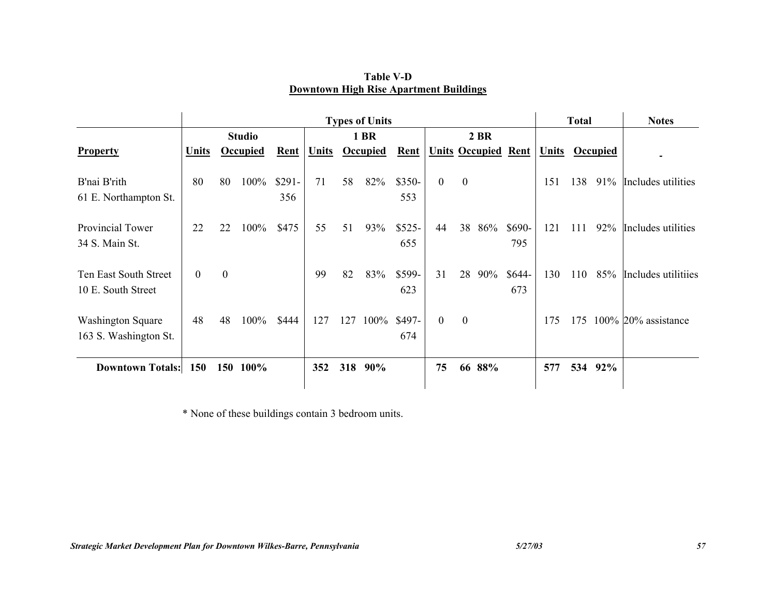|                                                   | <b>Types of Units</b> |              |               |                |       |              |                 |                |              |                  |                            |                |              | <b>Total</b> |          | <b>Notes</b>           |
|---------------------------------------------------|-----------------------|--------------|---------------|----------------|-------|--------------|-----------------|----------------|--------------|------------------|----------------------------|----------------|--------------|--------------|----------|------------------------|
|                                                   |                       |              | <b>Studio</b> |                |       | 1 BR<br>2 BR |                 |                |              |                  |                            |                |              |              |          |                        |
| <b>Property</b>                                   | Units                 |              | Occupied      | Rent           | Units |              | <b>Occupied</b> | Rent           |              |                  | <b>Units Occupied Rent</b> |                | <b>Units</b> |              | Occupied |                        |
| B'nai B'rith<br>61 E. Northampton St.             | 80                    | 80           | 100%          | $$291-$<br>356 | 71    | 58           | 82%             | \$350-<br>553  | $\mathbf{0}$ | $\boldsymbol{0}$ |                            |                | 151          | 138          | 91%      | Includes utilities     |
| Provincial Tower<br>34 S. Main St.                | 22                    | 22           | 100%          | \$475          | 55    | 51           | 93%             | $$525-$<br>655 | 44           | 38               | 86%                        | \$690-<br>795  | 121          | 111          | 92%      | Includes utilities     |
| Ten East South Street<br>10 E. South Street       | $\mathbf{0}$          | $\mathbf{0}$ |               |                | 99    | 82           | 83%             | \$599-<br>623  | 31           | 28               | 90%                        | $$644-$<br>673 | 130          | 110          | 85%      | Includes utilitiies    |
| <b>Washington Square</b><br>163 S. Washington St. | 48                    | 48           | 100%          | \$444          | 127   | 127          | 100%            | \$497-<br>674  | $\mathbf{0}$ | $\boldsymbol{0}$ |                            |                | 175          | 175          |          | $100\%$ 20% assistance |
| <b>Downtown Totals:</b>                           | <b>150</b>            | 150          | 100%          |                | 352   | 318          | 90%             |                | 75           | 66               | 88%                        |                | 577          | 534          | 92%      |                        |

**Table V-D Downtown High Rise Apartment Buildings**

\* None of these buildings contain 3 bedroom units.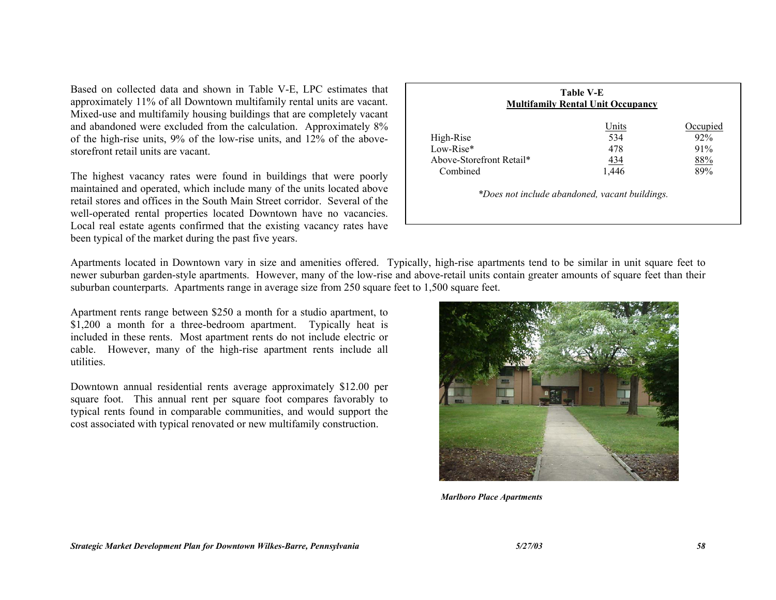Based on collected data and shown in Table V-E, LPC estimates that approximately 11% of all Downtown multifamily rental units are vacant. Mixed-use and multifamily housing buildings that are completely vacant and abandoned were excluded from the calculation. Approximately 8% of the high-rise units, 9% of the low-rise units, and 12% of the abovestorefront retail units are vacant.

The highest vacancy rates were found in buildings that were poorly maintained and operated, which include many of the units located above retail stores and offices in the South Main Street corridor. Several of the well-operated rental properties located Downtown have no vacancies. Local real estate agents confirmed that the existing vacancy rates have been typical of the market during the past five years.

| Occupied                                       |
|------------------------------------------------|
|                                                |
| 92%                                            |
| 91%                                            |
| 88%                                            |
| 89%                                            |
| *Does not include abandoned, vacant buildings. |

Apartments located in Downtown vary in size and amenities offered. Typically, high-rise apartments tend to be similar in unit square feet to newer suburban garden-style apartments. However, many of the low-rise and above-retail units contain greater amounts of square feet than their suburban counterparts. Apartments range in average size from 250 square feet to 1,500 square feet.

Apartment rents range between \$250 a month for a studio apartment, to \$1,200 a month for a three-bedroom apartment. Typically heat is included in these rents. Most apartment rents do not include electric or cable. However, many of the high-rise apartment rents include all utilities.

Downtown annual residential rents average approximately \$12.00 per square foot. This annual rent per square foot compares favorably to typical rents found in comparable communities, and would support the cost associated with typical renovated or new multifamily construction.



*Marlboro Place Apartments*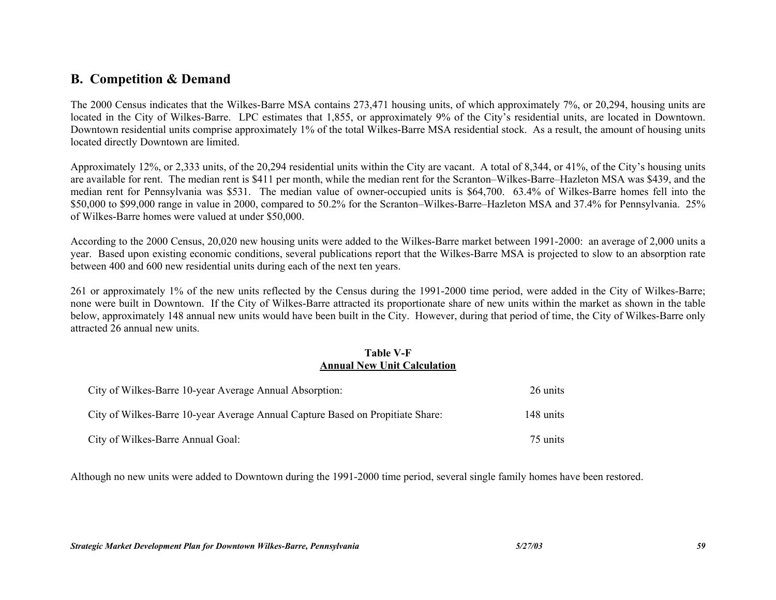# **B. Competition & Demand**

The 2000 Census indicates that the Wilkes-Barre MSA contains 273,471 housing units, of which approximately 7%, or 20,294, housing units are located in the City of Wilkes-Barre. LPC estimates that 1,855, or approximately 9% of the City's residential units, are located in Downtown. Downtown residential units comprise approximately 1% of the total Wilkes-Barre MSA residential stock. As a result, the amount of housing units located directly Downtown are limited.

Approximately 12%, or 2,333 units, of the 20,294 residential units within the City are vacant. A total of 8,344, or 41%, of the City's housing units are available for rent. The median rent is \$411 per month, while the median rent for the Scranton–Wilkes-Barre–Hazleton MSA was \$439, and the median rent for Pennsylvania was \$531. The median value of owner-occupied units is \$64,700. 63.4% of Wilkes-Barre homes fell into the \$50,000 to \$99,000 range in value in 2000, compared to 50.2% for the Scranton–Wilkes-Barre–Hazleton MSA and 37.4% for Pennsylvania. 25% of Wilkes-Barre homes were valued at under \$50,000.

According to the 2000 Census, 20,020 new housing units were added to the Wilkes-Barre market between 1991-2000: an average of 2,000 units a year. Based upon existing economic conditions, several publications report that the Wilkes-Barre MSA is projected to slow to an absorption rate between 400 and 600 new residential units during each of the next ten years.

261 or approximately 1% of the new units reflected by the Census during the 1991-2000 time period, were added in the City of Wilkes-Barre; none were built in Downtown. If the City of Wilkes-Barre attracted its proportionate share of new units within the market as shown in the table below, approximately 148 annual new units would have been built in the City. However, during that period of time, the City of Wilkes-Barre only attracted 26 annual new units.

#### **Table V-F Annual New Unit Calculation**

| City of Wilkes-Barre 10-year Average Annual Absorption:                        | 26 units  |
|--------------------------------------------------------------------------------|-----------|
| City of Wilkes-Barre 10-year Average Annual Capture Based on Propitiate Share: | 148 units |
| City of Wilkes-Barre Annual Goal:                                              | 75 units  |

Although no new units were added to Downtown during the 1991-2000 time period, several single family homes have been restored.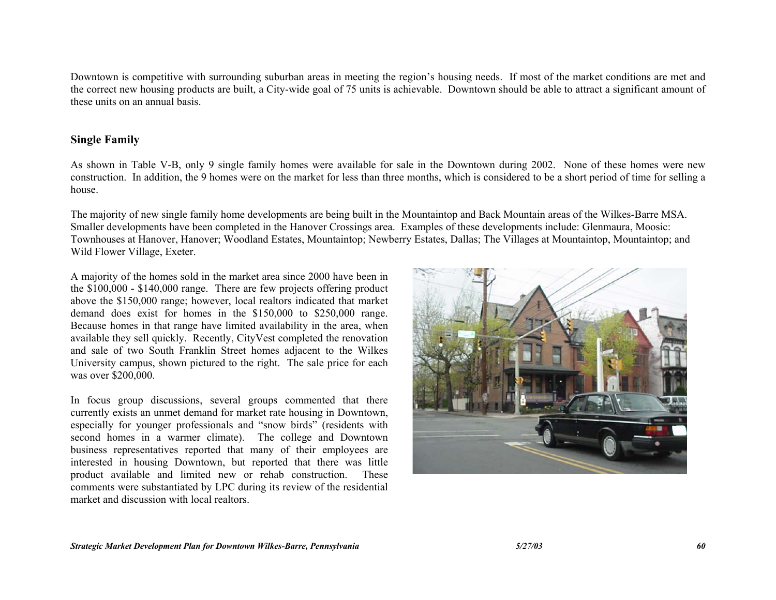Downtown is competitive with surrounding suburban areas in meeting the region's housing needs. If most of the market conditions are met and the correct new housing products are built, a City-wide goal of 75 units is achievable. Downtown should be able to attract a significant amount of these units on an annual basis.

# **Single Family**

As shown in Table V-B, only 9 single family homes were available for sale in the Downtown during 2002. None of these homes were new construction. In addition, the 9 homes were on the market for less than three months, which is considered to be a short period of time for selling a house.

The majority of new single family home developments are being built in the Mountaintop and Back Mountain areas of the Wilkes-Barre MSA. Smaller developments have been completed in the Hanover Crossings area. Examples of these developments include: Glenmaura, Moosic: Townhouses at Hanover, Hanover; Woodland Estates, Mountaintop; Newberry Estates, Dallas; The Villages at Mountaintop, Mountaintop; and Wild Flower Village, Exeter.

A majority of the homes sold in the market area since 2000 have been in the \$100,000 - \$140,000 range. There are few projects offering product above the \$150,000 range; however, local realtors indicated that market demand does exist for homes in the \$150,000 to \$250,000 range. Because homes in that range have limited availability in the area, when available they sell quickly. Recently, CityVest completed the renovation and sale of two South Franklin Street homes adjacent to the Wilkes University campus, shown pictured to the right. The sale price for each was over \$200,000.

In focus group discussions, several groups commented that there currently exists an unmet demand for market rate housing in Downtown, especially for younger professionals and "snow birds" (residents with second homes in a warmer climate). The college and Downtown business representatives reported that many of their employees are interested in housing Downtown, but reported that there was little product available and limited new or rehab construction. These comments were substantiated by LPC during its review of the residential market and discussion with local realtors.

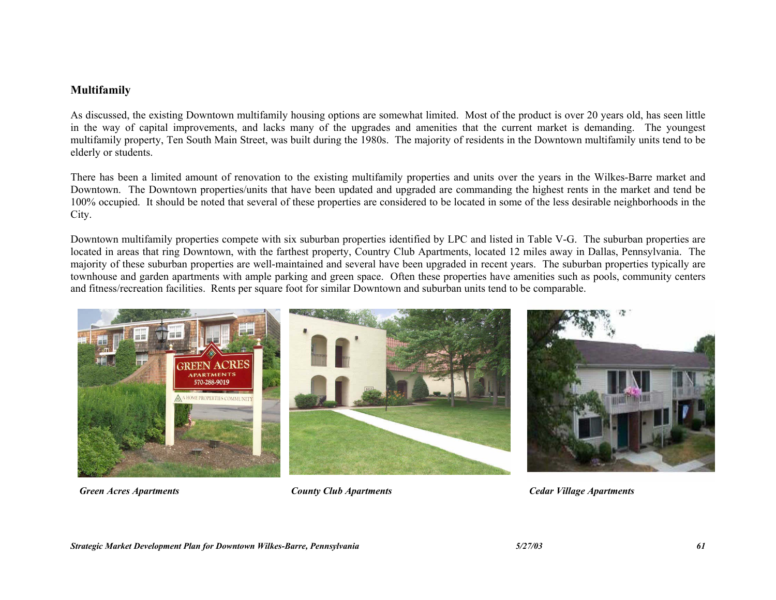#### **Multifamily**

As discussed, the existing Downtown multifamily housing options are somewhat limited. Most of the product is over 20 years old, has seen little in the way of capital improvements, and lacks many of the upgrades and amenities that the current market is demanding. The youngest multifamily property, Ten South Main Street, was built during the 1980s. The majority of residents in the Downtown multifamily units tend to be elderly or students.

There has been a limited amount of renovation to the existing multifamily properties and units over the years in the Wilkes-Barre market and Downtown. The Downtown properties/units that have been updated and upgraded are commanding the highest rents in the market and tend be 100% occupied. It should be noted that several of these properties are considered to be located in some of the less desirable neighborhoods in the City.

Downtown multifamily properties compete with six suburban properties identified by LPC and listed in Table V-G. The suburban properties are located in areas that ring Downtown, with the farthest property, Country Club Apartments, located 12 miles away in Dallas, Pennsylvania. The majority of these suburban properties are well-maintained and several have been upgraded in recent years. The suburban properties typically are townhouse and garden apartments with ample parking and green space. Often these properties have amenities such as pools, community centers and fitness/recreation facilities. Rents per square foot for similar Downtown and suburban units tend to be comparable.



*Green Acres Apartments County Club Apartments Cedar Village Apartments*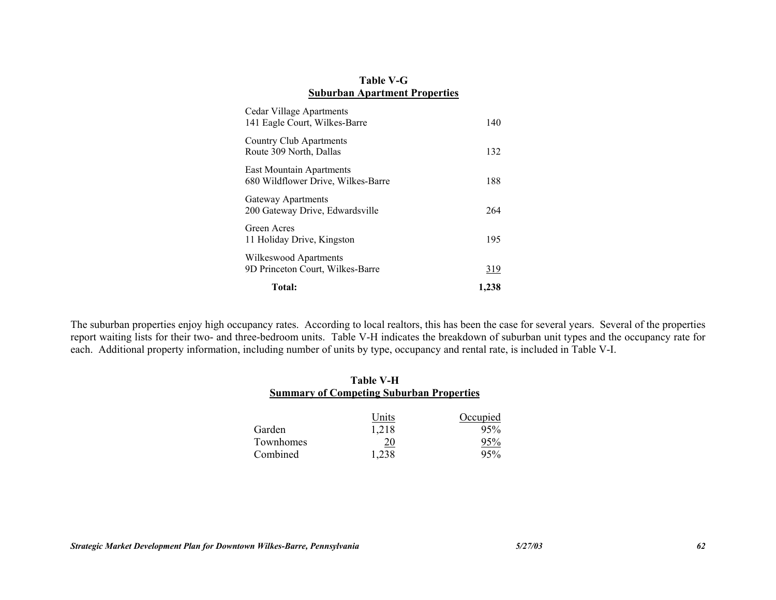### **Table V-G Suburban Apartment Properties**

| Total:                                                                | 1,238      |
|-----------------------------------------------------------------------|------------|
| Wilkeswood Apartments<br>9D Princeton Court, Wilkes-Barre             | <u>319</u> |
| Green Acres<br>11 Holiday Drive, Kingston                             | 195        |
| Gateway Apartments<br>200 Gateway Drive, Edwardsville                 | 264        |
| <b>East Mountain Apartments</b><br>680 Wildflower Drive, Wilkes-Barre | 188        |
| <b>Country Club Apartments</b><br>Route 309 North, Dallas             | 132        |
| Cedar Village Apartments<br>141 Eagle Court, Wilkes-Barre             | 140        |

The suburban properties enjoy high occupancy rates. According to local realtors, this has been the case for several years. Several of the properties report waiting lists for their two- and three-bedroom units. Table V-H indicates the breakdown of suburban unit types and the occupancy rate for each. Additional property information, including number of units by type, occupancy and rental rate, is included in Table V-I.

## **Table V-H Summary of Competing Suburban Properties**

|           | Units      | Occupied |
|-----------|------------|----------|
| Garden    | 1,218      | 95%      |
| Townhomes | <u> 20</u> | 95%      |
| Combined  | 1.238      | 95%      |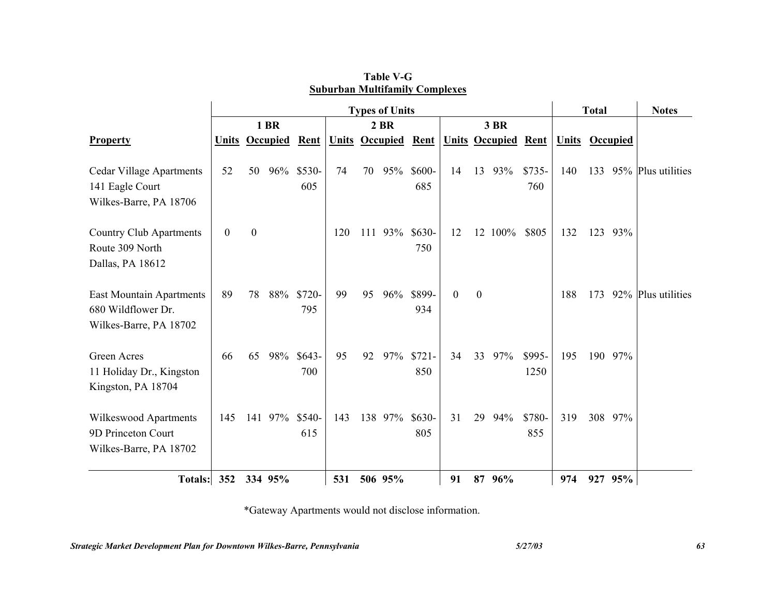|                                                                                 | <b>Types of Units</b> |                  |                       |                |     |     |                       |                            |              |                  | <b>Total</b>               |                |                       | <b>Notes</b> |         |                    |  |
|---------------------------------------------------------------------------------|-----------------------|------------------|-----------------------|----------------|-----|-----|-----------------------|----------------------------|--------------|------------------|----------------------------|----------------|-----------------------|--------------|---------|--------------------|--|
|                                                                                 | 1 BR                  |                  |                       |                |     |     | $2$ BR<br><b>3 BR</b> |                            |              |                  |                            |                |                       |              |         |                    |  |
| <b>Property</b>                                                                 |                       |                  | <b>Units Occupied</b> | Rent           |     |     |                       | <b>Units Occupied Rent</b> |              |                  | <b>Units Occupied Rent</b> |                | <b>Units Occupied</b> |              |         |                    |  |
| <b>Cedar Village Apartments</b><br>141 Eagle Court<br>Wilkes-Barre, PA 18706    | 52                    | 50               | 96%                   | $$530-$<br>605 | 74  | 70  | 95%                   | $$600-$<br>685             | 14           |                  | 13 93%                     | $$735-$<br>760 | 140                   | 133          |         | 95% Plus utilities |  |
| <b>Country Club Apartments</b><br>Route 309 North<br>Dallas, PA 18612           | $\boldsymbol{0}$      | $\boldsymbol{0}$ |                       |                | 120 | 111 | 93%                   | $$630-$<br>750             | 12           |                  | 12 100%                    | \$805          | 132                   | 123          | 93%     |                    |  |
| <b>East Mountain Apartments</b><br>680 Wildflower Dr.<br>Wilkes-Barre, PA 18702 | 89                    | 78               | 88%                   | $$720-$<br>795 | 99  | 95  | 96%                   | \$899-<br>934              | $\mathbf{0}$ | $\boldsymbol{0}$ |                            |                | 188                   | 173          |         | 92% Plus utilities |  |
| Green Acres<br>11 Holiday Dr., Kingston<br>Kingston, PA 18704                   | 66                    | 65               | 98%                   | $$643-$<br>700 | 95  | 92  | 97%                   | $$721-$<br>850             | 34           | 33               | 97%                        | \$995-<br>1250 | 195                   |              | 190 97% |                    |  |
| Wilkeswood Apartments<br>9D Princeton Court<br>Wilkes-Barre, PA 18702           | 145                   |                  | 141 97%               | \$540-<br>615  | 143 |     | 138 97%               | $$630-$<br>805             | 31           | 29               | 94%                        | \$780-<br>855  | 319                   |              | 308 97% |                    |  |
| <b>Totals:</b>                                                                  | 352                   |                  | 334 95%               |                | 531 |     | 506 95%               |                            | 91           |                  | 87 96%                     |                | 974                   |              | 927 95% |                    |  |

**Table V-G Suburban Multifamily Complexes**

\*Gateway Apartments would not disclose information.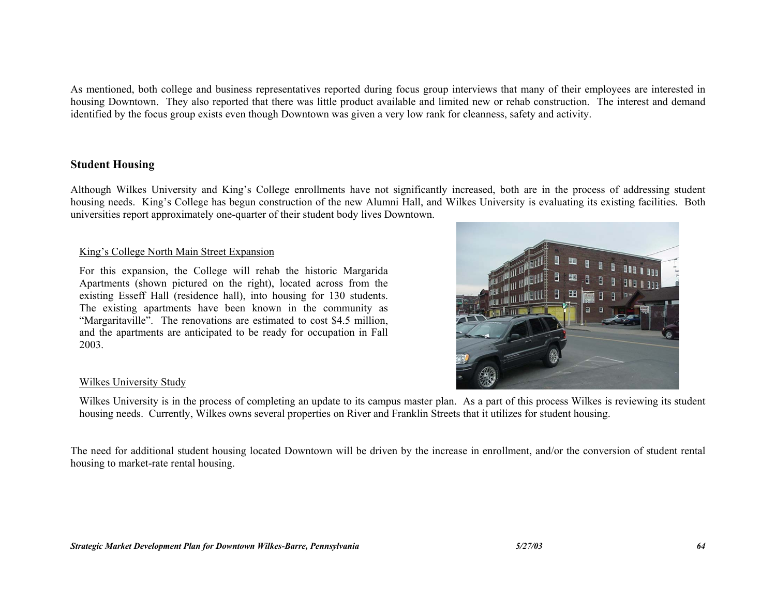As mentioned, both college and business representatives reported during focus group interviews that many of their employees are interested in housing Downtown. They also reported that there was little product available and limited new or rehab construction. The interest and demand identified by the focus group exists even though Downtown was given a very low rank for cleanness, safety and activity.

## **Student Housing**

Although Wilkes University and King's College enrollments have not significantly increased, both are in the process of addressing student housing needs. King's College has begun construction of the new Alumni Hall, and Wilkes University is evaluating its existing facilities. Both universities report approximately one-quarter of their student body lives Downtown.

#### King's College North Main Street Expansion

For this expansion, the College will rehab the historic Margarida Apartments (shown pictured on the right), located across from the existing Esseff Hall (residence hall), into housing for 130 students. The existing apartments have been known in the community as "Margaritaville". The renovations are estimated to cost \$4.5 million, and the apartments are anticipated to be ready for occupation in Fall 2003.



#### Wilkes University Study

Wilkes University is in the process of completing an update to its campus master plan. As a part of this process Wilkes is reviewing its student housing needs. Currently, Wilkes owns several properties on River and Franklin Streets that it utilizes for student housing.

The need for additional student housing located Downtown will be driven by the increase in enrollment, and/or the conversion of student rental housing to market-rate rental housing.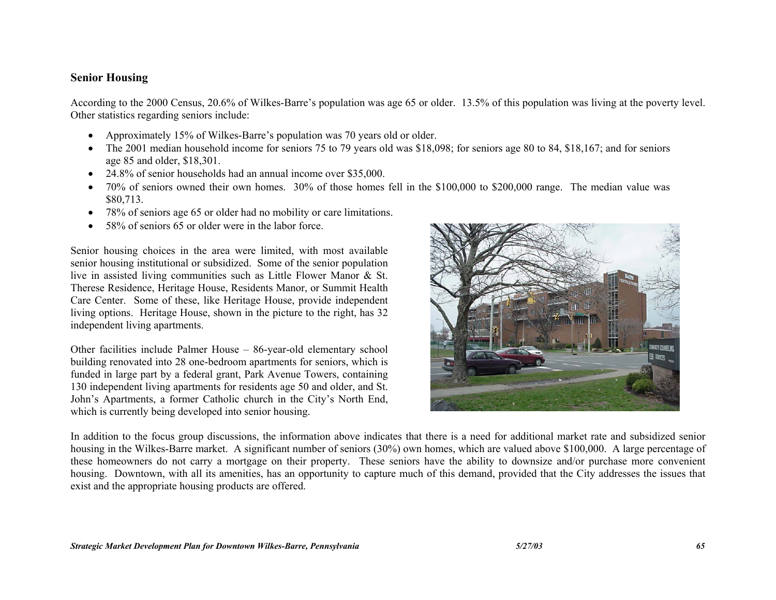### **Senior Housing**

According to the 2000 Census, 20.6% of Wilkes-Barre's population was age 65 or older. 13.5% of this population was living at the poverty level. Other statistics regarding seniors include:

- Approximately 15% of Wilkes-Barre's population was 70 years old or older.
- The 2001 median household income for seniors 75 to 79 years old was \$18,098; for seniors age 80 to 84, \$18,167; and for seniors age 85 and older, \$18,301.
- 24.8% of senior households had an annual income over \$35,000.
- 70% of seniors owned their own homes. 30% of those homes fell in the \$100,000 to \$200,000 range. The median value was \$80,713.
- 78% of seniors age 65 or older had no mobility or care limitations.
- 58% of seniors 65 or older were in the labor force.

Senior housing choices in the area were limited, with most available senior housing institutional or subsidized. Some of the senior population live in assisted living communities such as Little Flower Manor & St. Therese Residence, Heritage House, Residents Manor, or Summit Health Care Center. Some of these, like Heritage House, provide independent living options. Heritage House, shown in the picture to the right, has 32 independent living apartments.

Other facilities include Palmer House – 86-year-old elementary school building renovated into 28 one-bedroom apartments for seniors, which is funded in large part by a federal grant, Park Avenue Towers, containing 130 independent living apartments for residents age 50 and older, and St. John's Apartments, a former Catholic church in the City's North End, which is currently being developed into senior housing.



In addition to the focus group discussions, the information above indicates that there is a need for additional market rate and subsidized senior housing in the Wilkes-Barre market. A significant number of seniors (30%) own homes, which are valued above \$100,000. A large percentage of these homeowners do not carry a mortgage on their property. These seniors have the ability to downsize and/or purchase more convenient housing. Downtown, with all its amenities, has an opportunity to capture much of this demand, provided that the City addresses the issues that exist and the appropriate housing products are offered.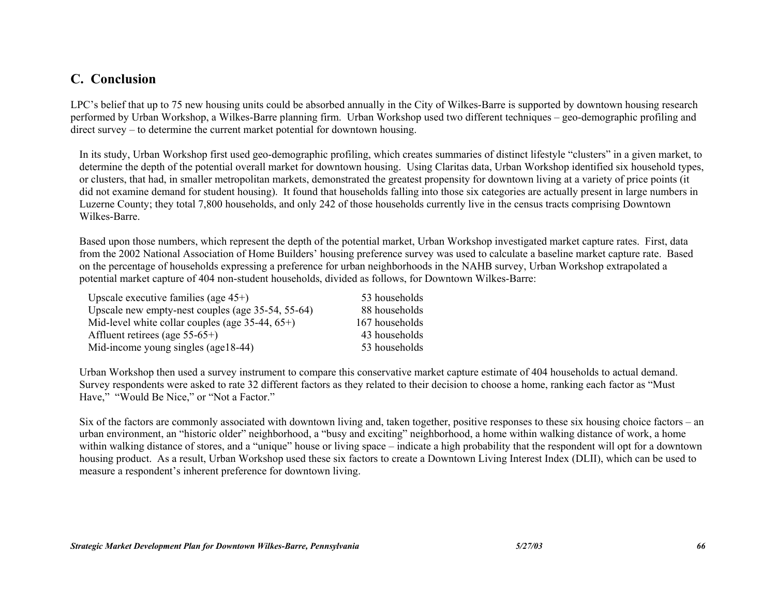# **C. Conclusion**

LPC's belief that up to 75 new housing units could be absorbed annually in the City of Wilkes-Barre is supported by downtown housing research performed by Urban Workshop, a Wilkes-Barre planning firm. Urban Workshop used two different techniques – geo-demographic profiling and direct survey – to determine the current market potential for downtown housing.

In its study, Urban Workshop first used geo-demographic profiling, which creates summaries of distinct lifestyle "clusters" in a given market, to determine the depth of the potential overall market for downtown housing. Using Claritas data, Urban Workshop identified six household types, or clusters, that had, in smaller metropolitan markets, demonstrated the greatest propensity for downtown living at a variety of price points (it did not examine demand for student housing). It found that households falling into those six categories are actually present in large numbers in Luzerne County; they total 7,800 households, and only 242 of those households currently live in the census tracts comprising Downtown Wilkes-Barre.

Based upon those numbers, which represent the depth of the potential market, Urban Workshop investigated market capture rates. First, data from the 2002 National Association of Home Builders' housing preference survey was used to calculate a baseline market capture rate. Based on the percentage of households expressing a preference for urban neighborhoods in the NAHB survey, Urban Workshop extrapolated a potential market capture of 404 non-student households, divided as follows, for Downtown Wilkes-Barre:

| Upscale executive families (age $45+$ )             | 53 households  |
|-----------------------------------------------------|----------------|
| Upscale new empty-nest couples (age 35-54, 55-64)   | 88 households  |
| Mid-level white collar couples (age $35-44, 65+)$ ) | 167 households |
| Affluent retirees (age $55-65+$ )                   | 43 households  |
| Mid-income young singles (age18-44)                 | 53 households  |

Urban Workshop then used a survey instrument to compare this conservative market capture estimate of 404 households to actual demand. Survey respondents were asked to rate 32 different factors as they related to their decision to choose a home, ranking each factor as "Must Have," "Would Be Nice," or "Not a Factor."

Six of the factors are commonly associated with downtown living and, taken together, positive responses to these six housing choice factors – an urban environment, an "historic older" neighborhood, a "busy and exciting" neighborhood, a home within walking distance of work, a home within walking distance of stores, and a "unique" house or living space – indicate a high probability that the respondent will opt for a downtown housing product. As a result, Urban Workshop used these six factors to create a Downtown Living Interest Index (DLII), which can be used to measure a respondent's inherent preference for downtown living.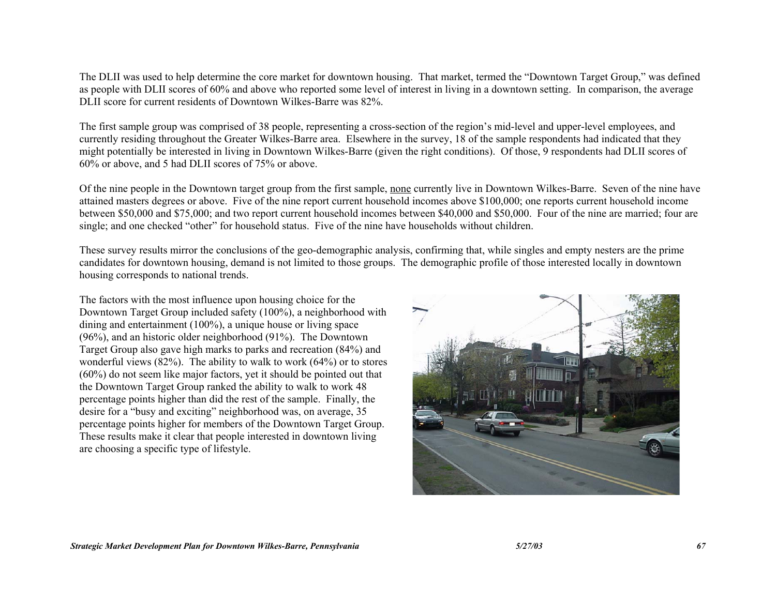The DLII was used to help determine the core market for downtown housing. That market, termed the "Downtown Target Group," was defined as people with DLII scores of 60% and above who reported some level of interest in living in a downtown setting. In comparison, the average DLII score for current residents of Downtown Wilkes-Barre was 82%.

The first sample group was comprised of 38 people, representing a cross-section of the region's mid-level and upper-level employees, and currently residing throughout the Greater Wilkes-Barre area. Elsewhere in the survey, 18 of the sample respondents had indicated that they might potentially be interested in living in Downtown Wilkes-Barre (given the right conditions). Of those, 9 respondents had DLII scores of 60% or above, and 5 had DLII scores of 75% or above.

Of the nine people in the Downtown target group from the first sample, none currently live in Downtown Wilkes-Barre. Seven of the nine have attained masters degrees or above. Five of the nine report current household incomes above \$100,000; one reports current household income between \$50,000 and \$75,000; and two report current household incomes between \$40,000 and \$50,000. Four of the nine are married; four are single; and one checked "other" for household status. Five of the nine have households without children.

These survey results mirror the conclusions of the geo-demographic analysis, confirming that, while singles and empty nesters are the prime candidates for downtown housing, demand is not limited to those groups. The demographic profile of those interested locally in downtown housing corresponds to national trends.

The factors with the most influence upon housing choice for the Downtown Target Group included safety (100%), a neighborhood with dining and entertainment (100%), a unique house or living space (96%), and an historic older neighborhood (91%). The Downtown Target Group also gave high marks to parks and recreation (84%) and wonderful views  $(82%)$ . The ability to walk to work  $(64%)$  or to stores (60%) do not seem like major factors, yet it should be pointed out that the Downtown Target Group ranked the ability to walk to work 48 percentage points higher than did the rest of the sample. Finally, the desire for a "busy and exciting" neighborhood was, on average, 35 percentage points higher for members of the Downtown Target Group. These results make it clear that people interested in downtown living are choosing a specific type of lifestyle.